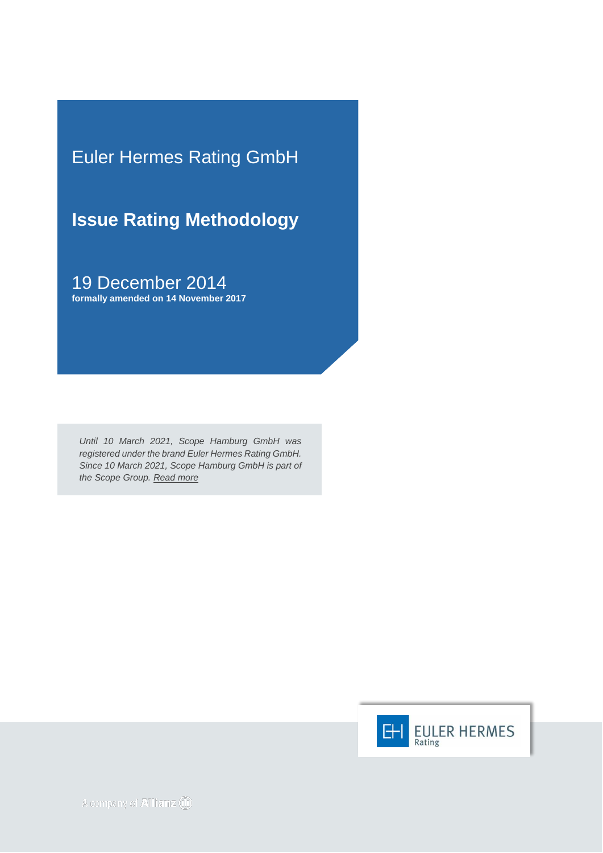Euler Hermes Rating GmbH

**Issue Rating Methodology**

19 December 2014 **formally amended on 14 November 2017**

*Until 10 March 2021, Scope Hamburg GmbH was registered under the brand Euler Hermes Rating GmbH. Since 10 March 2021, Scope Hamburg GmbH is part of the Scope Group. [Read more](https://scopegroup.com/media-centre/Scope-Group-acquires-Euler-Hermes-Rating-.html)*

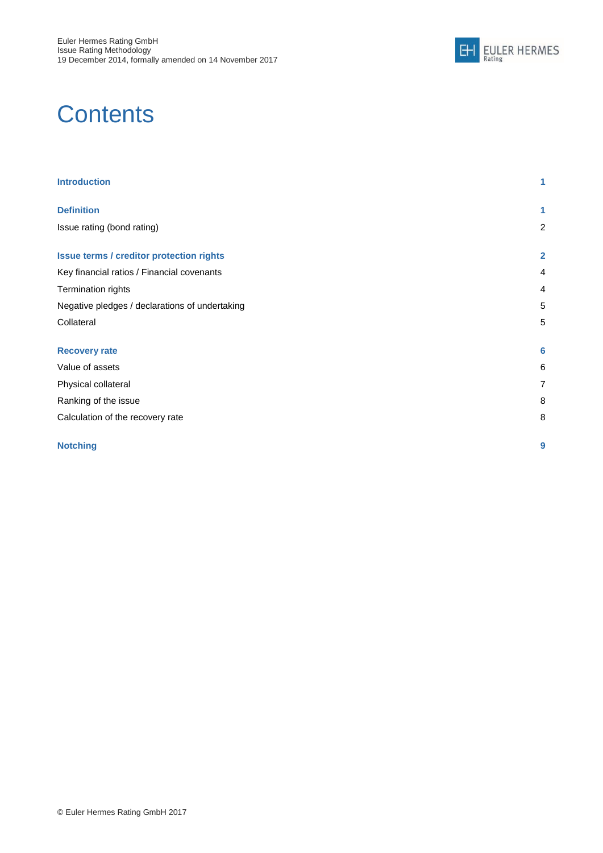

# **Contents**

| <b>Introduction</b>                             | 1              |
|-------------------------------------------------|----------------|
| <b>Definition</b>                               | 1              |
| Issue rating (bond rating)                      | $\overline{c}$ |
| <b>Issue terms / creditor protection rights</b> | $\overline{2}$ |
| Key financial ratios / Financial covenants      | 4              |
| Termination rights                              | 4              |
| Negative pledges / declarations of undertaking  | 5              |
| Collateral                                      | 5              |
| <b>Recovery rate</b>                            | 6              |
| Value of assets                                 | 6              |
| Physical collateral                             | $\overline{7}$ |
| Ranking of the issue                            | 8              |
| Calculation of the recovery rate                | 8              |
| <b>Notching</b>                                 | 9              |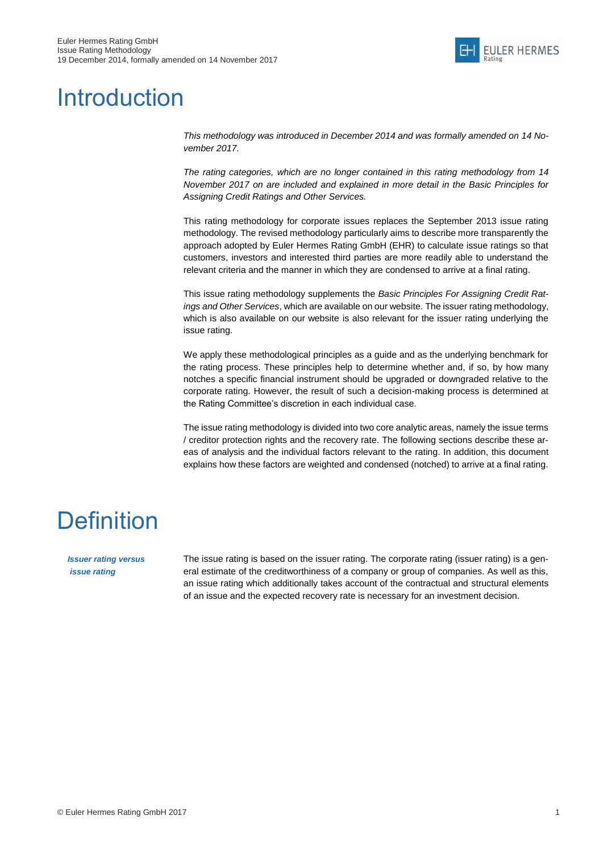

## <span id="page-2-0"></span>**Introduction**

*This methodology was introduced in December 2014 and was formally amended on 14 November 2017.*

*The rating categories, which are no longer contained in this rating methodology from 14 November 2017 on are included and explained in more detail in the Basic Principles for Assigning Credit Ratings and Other Services.*

This rating methodology for corporate issues replaces the September 2013 issue rating methodology. The revised methodology particularly aims to describe more transparently the approach adopted by Euler Hermes Rating GmbH (EHR) to calculate issue ratings so that customers, investors and interested third parties are more readily able to understand the relevant criteria and the manner in which they are condensed to arrive at a final rating.

This issue rating methodology supplements the *Basic Principles For Assigning Credit Ratings and Other Services*, which are available on our website. The issuer rating methodology, which is also available on our website is also relevant for the issuer rating underlying the issue rating.

We apply these methodological principles as a guide and as the underlying benchmark for the rating process. These principles help to determine whether and, if so, by how many notches a specific financial instrument should be upgraded or downgraded relative to the corporate rating. However, the result of such a decision-making process is determined at the Rating Committee's discretion in each individual case.

The issue rating methodology is divided into two core analytic areas, namely the issue terms / creditor protection rights and the recovery rate. The following sections describe these areas of analysis and the individual factors relevant to the rating. In addition, this document explains how these factors are weighted and condensed (notched) to arrive at a final rating.

## <span id="page-2-1"></span>**Definition**

*Issuer rating versus issue rating*

The issue rating is based on the issuer rating. The corporate rating (issuer rating) is a general estimate of the creditworthiness of a company or group of companies. As well as this, an issue rating which additionally takes account of the contractual and structural elements of an issue and the expected recovery rate is necessary for an investment decision.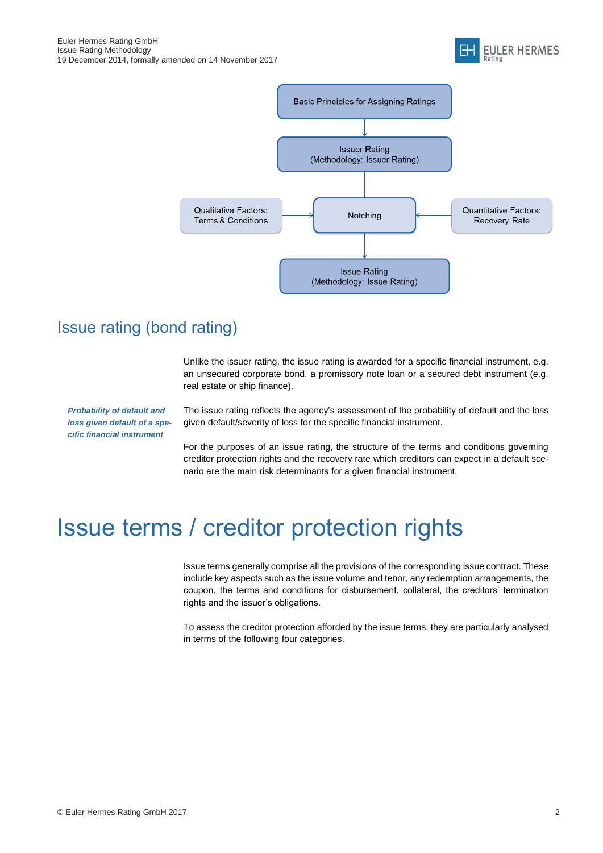



## <span id="page-3-0"></span>Issue rating (bond rating)

Unlike the issuer rating, the issue rating is awarded for a specific financial instrument, e.g. an unsecured corporate bond, a promissory note loan or a secured debt instrument (e.g. real estate or ship finance).

*Probability of default and loss given default of a specific financial instrument*

The issue rating reflects the agency's assessment of the probability of default and the loss given default/severity of loss for the specific financial instrument.

For the purposes of an issue rating, the structure of the terms and conditions governing creditor protection rights and the recovery rate which creditors can expect in a default scenario are the main risk determinants for a given financial instrument.

## <span id="page-3-1"></span>Issue terms / creditor protection rights

Issue terms generally comprise all the provisions of the corresponding issue contract. These include key aspects such as the issue volume and tenor, any redemption arrangements, the coupon, the terms and conditions for disbursement, collateral, the creditors' termination rights and the issuer's obligations.

To assess the creditor protection afforded by the issue terms, they are particularly analysed in terms of the following four categories.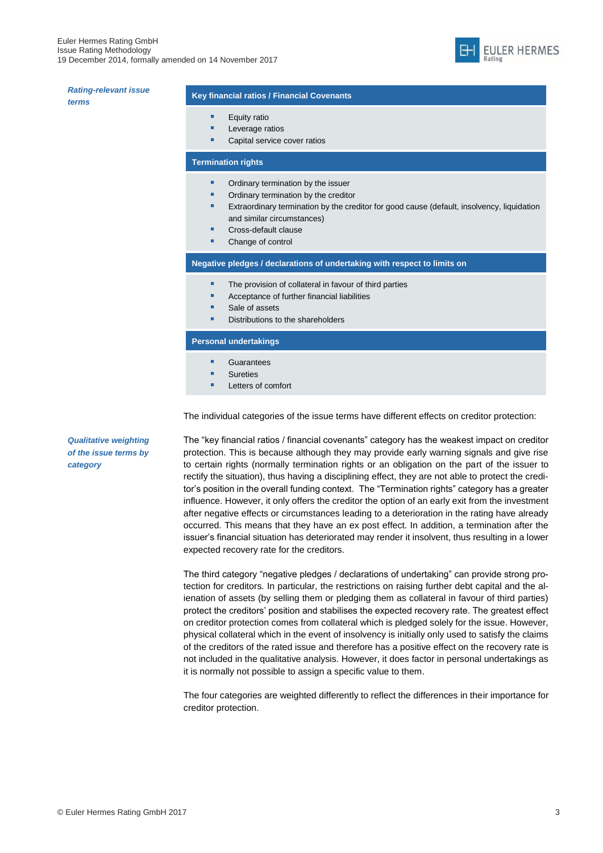

| <b>Rating-relevant issue</b> | <b>Key financial rationally</b> |
|------------------------------|---------------------------------|
| terms                        |                                 |
|                              | Equity ra                       |
|                              | Leverage                        |
|                              | Capital s                       |

#### **Key financial ratios / Financial Covenants**

- atio
- e ratios
- service cover ratios

### **Termination rights**

- **•** Ordinary termination by the issuer
- Ordinary termination by the creditor
- Extraordinary termination by the creditor for good cause (default, insolvency, liquidation and similar circumstances)
	- Cross-default clause
- Change of control

**Negative pledges / declarations of undertaking with respect to limits on**

- The provision of collateral in favour of third parties
- Acceptance of further financial liabilities
- Sale of assets
- **Distributions to the shareholders**

#### **Personal undertakings**

- **Guarantees**
- **Sureties**
- Letters of comfort

The individual categories of the issue terms have different effects on creditor protection:

The "key financial ratios / financial covenants" category has the weakest impact on creditor protection. This is because although they may provide early warning signals and give rise to certain rights (normally termination rights or an obligation on the part of the issuer to rectify the situation), thus having a disciplining effect, they are not able to protect the creditor's position in the overall funding context. The "Termination rights" category has a greater influence. However, it only offers the creditor the option of an early exit from the investment after negative effects or circumstances leading to a deterioration in the rating have already occurred. This means that they have an ex post effect. In addition, a termination after the issuer's financial situation has deteriorated may render it insolvent, thus resulting in a lower expected recovery rate for the creditors.

The third category "negative pledges / declarations of undertaking" can provide strong protection for creditors. In particular, the restrictions on raising further debt capital and the alienation of assets (by selling them or pledging them as collateral in favour of third parties) protect the creditors' position and stabilises the expected recovery rate. The greatest effect on creditor protection comes from collateral which is pledged solely for the issue. However, physical collateral which in the event of insolvency is initially only used to satisfy the claims of the creditors of the rated issue and therefore has a positive effect on the recovery rate is not included in the qualitative analysis. However, it does factor in personal undertakings as it is normally not possible to assign a specific value to them.

The four categories are weighted differently to reflect the differences in their importance for creditor protection.

*Qualitative weighting of the issue terms by category*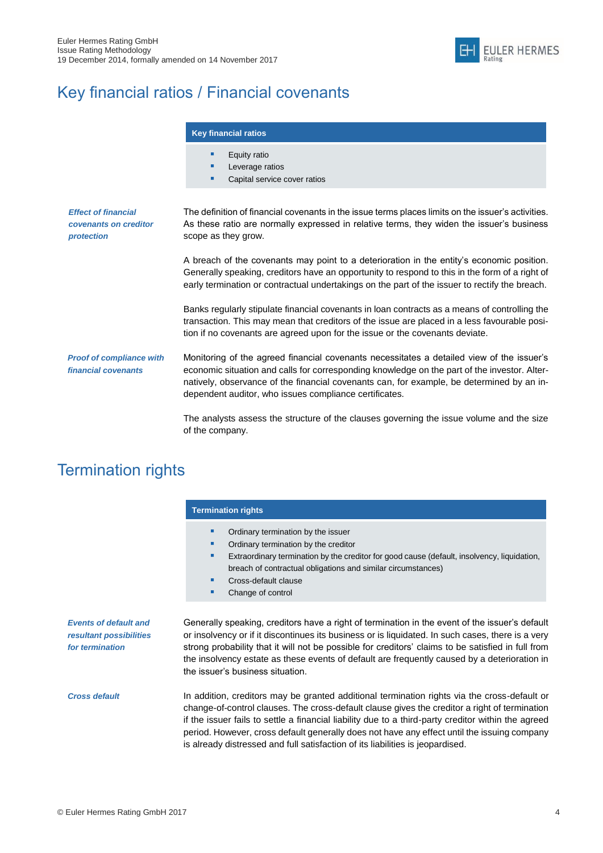

## <span id="page-5-0"></span>Key financial ratios / Financial covenants

|                                                                   | <b>Key financial ratios</b>                                                                                                                                                                                                                                                                                                                      |  |  |
|-------------------------------------------------------------------|--------------------------------------------------------------------------------------------------------------------------------------------------------------------------------------------------------------------------------------------------------------------------------------------------------------------------------------------------|--|--|
|                                                                   | Equity ratio<br>г<br>Leverage ratios<br>г<br>Capital service cover ratios<br>■                                                                                                                                                                                                                                                                   |  |  |
| <b>Effect of financial</b><br>covenants on creditor<br>protection | The definition of financial covenants in the issue terms places limits on the issuer's activities.<br>As these ratio are normally expressed in relative terms, they widen the issuer's business<br>scope as they grow.                                                                                                                           |  |  |
|                                                                   | A breach of the covenants may point to a deterioration in the entity's economic position.<br>Generally speaking, creditors have an opportunity to respond to this in the form of a right of<br>early termination or contractual undertakings on the part of the issuer to rectify the breach.                                                    |  |  |
|                                                                   | Banks regularly stipulate financial covenants in loan contracts as a means of controlling the<br>transaction. This may mean that creditors of the issue are placed in a less favourable posi-<br>tion if no covenants are agreed upon for the issue or the covenants deviate.                                                                    |  |  |
| <b>Proof of compliance with</b><br>financial covenants            | Monitoring of the agreed financial covenants necessitates a detailed view of the issuer's<br>economic situation and calls for corresponding knowledge on the part of the investor. Alter-<br>natively, observance of the financial covenants can, for example, be determined by an in-<br>dependent auditor, who issues compliance certificates. |  |  |
|                                                                   | The analysts assess the structure of the clauses governing the issue volume and the size                                                                                                                                                                                                                                                         |  |  |

The analysts assess the structure of the clauses governing the issue volume and the size of the company.

## <span id="page-5-1"></span>Termination rights

|                                                                            | <b>Termination rights</b>                                                                                                                                                                                                                                                                                                                                                                                                                                                             |  |  |  |
|----------------------------------------------------------------------------|---------------------------------------------------------------------------------------------------------------------------------------------------------------------------------------------------------------------------------------------------------------------------------------------------------------------------------------------------------------------------------------------------------------------------------------------------------------------------------------|--|--|--|
|                                                                            | Ordinary termination by the issuer<br>٠<br>Ordinary termination by the creditor<br>ш<br>Extraordinary termination by the creditor for good cause (default, insolvency, liquidation,<br>ш<br>breach of contractual obligations and similar circumstances)<br>Cross-default clause<br>ш<br>Change of control<br>ш                                                                                                                                                                       |  |  |  |
| <b>Events of default and</b><br>resultant possibilities<br>for termination | Generally speaking, creditors have a right of termination in the event of the issuer's default<br>or insolvency or if it discontinues its business or is liquidated. In such cases, there is a very<br>strong probability that it will not be possible for creditors' claims to be satisfied in full from<br>the insolvency estate as these events of default are frequently caused by a deterioration in<br>the issuer's business situation.                                         |  |  |  |
| <b>Cross default</b>                                                       | In addition, creditors may be granted additional termination rights via the cross-default or<br>change-of-control clauses. The cross-default clause gives the creditor a right of termination<br>if the issuer fails to settle a financial liability due to a third-party creditor within the agreed<br>period. However, cross default generally does not have any effect until the issuing company<br>is already distressed and full satisfaction of its liabilities is jeopardised. |  |  |  |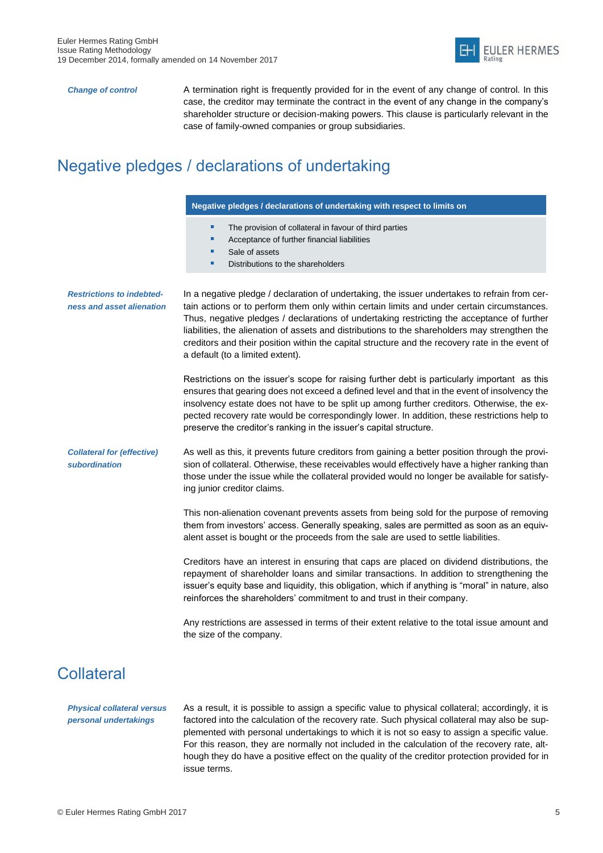

*Change of control* A termination right is frequently provided for in the event of any change of control. In this case, the creditor may terminate the contract in the event of any change in the company's shareholder structure or decision-making powers. This clause is particularly relevant in the case of family-owned companies or group subsidiaries.

## <span id="page-6-0"></span>Negative pledges / declarations of undertaking

#### **Negative pledges / declarations of undertaking with respect to limits on**

- The provision of collateral in favour of third parties
- Acceptance of further financial liabilities
- Sale of assets
- Distributions to the shareholders

*Restrictions to indebtedness and asset alienation* In a negative pledge / declaration of undertaking, the issuer undertakes to refrain from certain actions or to perform them only within certain limits and under certain circumstances. Thus, negative pledges / declarations of undertaking restricting the acceptance of further liabilities, the alienation of assets and distributions to the shareholders may strengthen the creditors and their position within the capital structure and the recovery rate in the event of a default (to a limited extent).

> Restrictions on the issuer's scope for raising further debt is particularly important as this ensures that gearing does not exceed a defined level and that in the event of insolvency the insolvency estate does not have to be split up among further creditors. Otherwise, the expected recovery rate would be correspondingly lower. In addition, these restrictions help to preserve the creditor's ranking in the issuer's capital structure.

*Collateral for (effective) subordination* As well as this, it prevents future creditors from gaining a better position through the provision of collateral. Otherwise, these receivables would effectively have a higher ranking than those under the issue while the collateral provided would no longer be available for satisfying junior creditor claims.

> This non-alienation covenant prevents assets from being sold for the purpose of removing them from investors' access. Generally speaking, sales are permitted as soon as an equivalent asset is bought or the proceeds from the sale are used to settle liabilities.

> Creditors have an interest in ensuring that caps are placed on dividend distributions, the repayment of shareholder loans and similar transactions. In addition to strengthening the issuer's equity base and liquidity, this obligation, which if anything is "moral" in nature, also reinforces the shareholders' commitment to and trust in their company.

> Any restrictions are assessed in terms of their extent relative to the total issue amount and the size of the company.

### <span id="page-6-1"></span>**Collateral**

*Physical collateral versus personal undertakings*

As a result, it is possible to assign a specific value to physical collateral; accordingly, it is factored into the calculation of the recovery rate. Such physical collateral may also be supplemented with personal undertakings to which it is not so easy to assign a specific value. For this reason, they are normally not included in the calculation of the recovery rate, although they do have a positive effect on the quality of the creditor protection provided for in issue terms.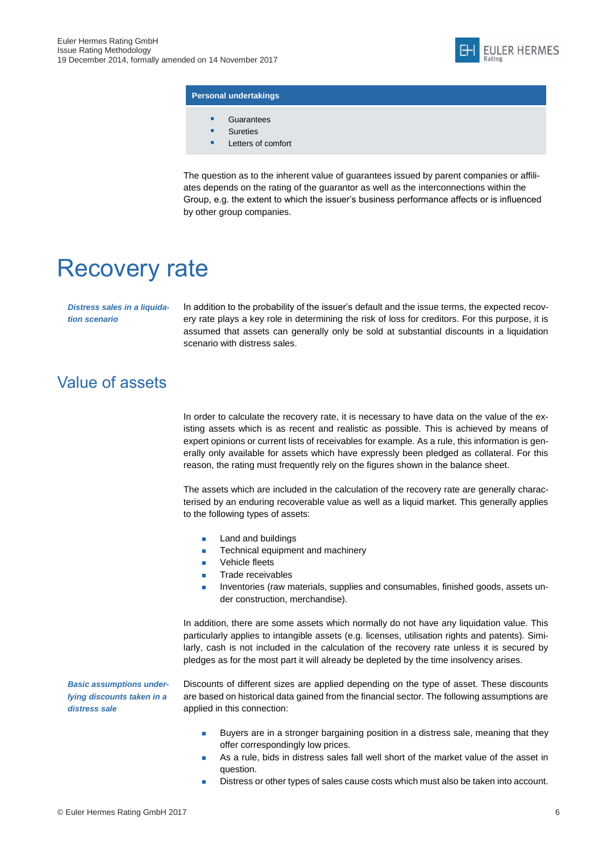

#### **Personal undertakings**

- **Guarantees**
- Sureties
- **Letters of comfort**

The question as to the inherent value of guarantees issued by parent companies or affiliates depends on the rating of the guarantor as well as the interconnections within the Group, e.g. the extent to which the issuer's business performance affects or is influenced by other group companies.

## <span id="page-7-0"></span>Recovery rate

*Distress sales in a liquidation scenario*

In addition to the probability of the issuer's default and the issue terms, the expected recovery rate plays a key role in determining the risk of loss for creditors. For this purpose, it is assumed that assets can generally only be sold at substantial discounts in a liquidation scenario with distress sales.

## <span id="page-7-1"></span>Value of assets

In order to calculate the recovery rate, it is necessary to have data on the value of the existing assets which is as recent and realistic as possible. This is achieved by means of expert opinions or current lists of receivables for example. As a rule, this information is generally only available for assets which have expressly been pledged as collateral. For this reason, the rating must frequently rely on the figures shown in the balance sheet.

The assets which are included in the calculation of the recovery rate are generally characterised by an enduring recoverable value as well as a liquid market. This generally applies to the following types of assets:

- Land and buildings
- **Technical equipment and machinery**
- Vehicle fleets
- **Trade receivables**
- Inventories (raw materials, supplies and consumables, finished goods, assets under construction, merchandise).

In addition, there are some assets which normally do not have any liquidation value. This particularly applies to intangible assets (e.g. licenses, utilisation rights and patents). Similarly, cash is not included in the calculation of the recovery rate unless it is secured by pledges as for the most part it will already be depleted by the time insolvency arises.

*Basic assumptions underlying discounts taken in a distress sale*

Discounts of different sizes are applied depending on the type of asset. These discounts are based on historical data gained from the financial sector. The following assumptions are applied in this connection:

- Buyers are in a stronger bargaining position in a distress sale, meaning that they offer correspondingly low prices.
- **As a rule, bids in distress sales fall well short of the market value of the asset in** question.
- Distress or other types of sales cause costs which must also be taken into account.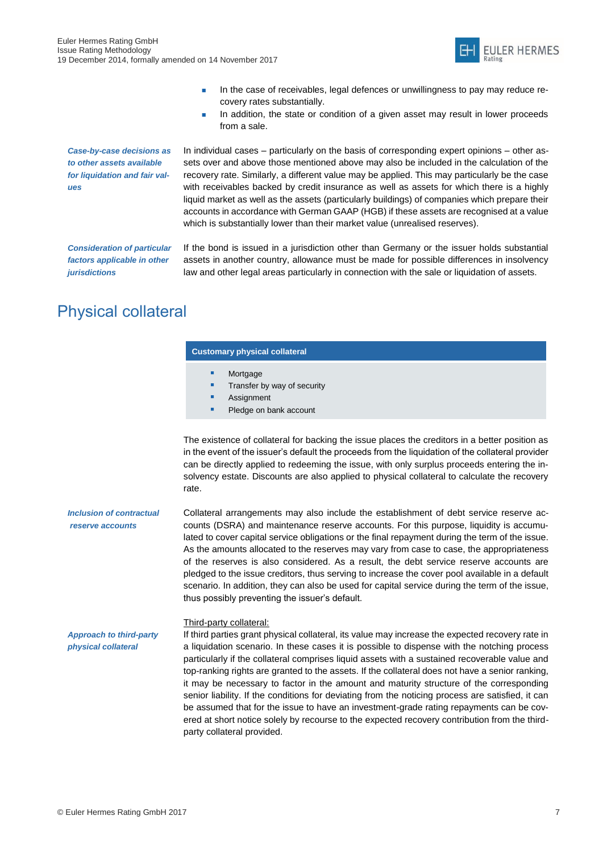

- In the case of receivables, legal defences or unwillingness to pay may reduce recovery rates substantially.
- In addition, the state or condition of a given asset may result in lower proceeds from a sale.

*Case-by-case decisions as to other assets available for liquidation and fair values*

In individual cases – particularly on the basis of corresponding expert opinions – other assets over and above those mentioned above may also be included in the calculation of the recovery rate. Similarly, a different value may be applied. This may particularly be the case with receivables backed by credit insurance as well as assets for which there is a highly liquid market as well as the assets (particularly buildings) of companies which prepare their accounts in accordance with German GAAP (HGB) if these assets are recognised at a value which is substantially lower than their market value (unrealised reserves).

*Consideration of particular factors applicable in other jurisdictions*

If the bond is issued in a jurisdiction other than Germany or the issuer holds substantial assets in another country, allowance must be made for possible differences in insolvency law and other legal areas particularly in connection with the sale or liquidation of assets.

## <span id="page-8-0"></span>Physical collateral

### **Customary physical collateral**

- Mortgage
- Transfer by way of security
- Assignment
- Pledge on bank account

The existence of collateral for backing the issue places the creditors in a better position as in the event of the issuer's default the proceeds from the liquidation of the collateral provider can be directly applied to redeeming the issue, with only surplus proceeds entering the insolvency estate. Discounts are also applied to physical collateral to calculate the recovery rate.

*Inclusion of contractual reserve accounts* Collateral arrangements may also include the establishment of debt service reserve accounts (DSRA) and maintenance reserve accounts. For this purpose, liquidity is accumulated to cover capital service obligations or the final repayment during the term of the issue. As the amounts allocated to the reserves may vary from case to case, the appropriateness of the reserves is also considered. As a result, the debt service reserve accounts are pledged to the issue creditors, thus serving to increase the cover pool available in a default scenario. In addition, they can also be used for capital service during the term of the issue, thus possibly preventing the issuer's default.

### Third-party collateral:

If third parties grant physical collateral, its value may increase the expected recovery rate in a liquidation scenario. In these cases it is possible to dispense with the notching process particularly if the collateral comprises liquid assets with a sustained recoverable value and top-ranking rights are granted to the assets. If the collateral does not have a senior ranking, it may be necessary to factor in the amount and maturity structure of the corresponding senior liability. If the conditions for deviating from the noticing process are satisfied, it can be assumed that for the issue to have an investment-grade rating repayments can be covered at short notice solely by recourse to the expected recovery contribution from the thirdparty collateral provided.

*Approach to third-party physical collateral*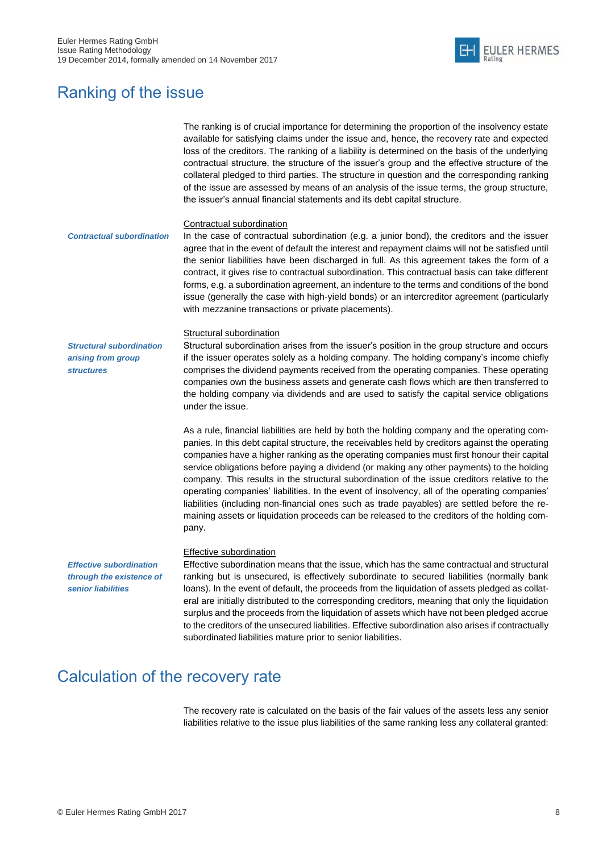

## <span id="page-9-0"></span>Ranking of the issue

|                                                                                  | The ranking is of crucial importance for determining the proportion of the insolvency estate<br>available for satisfying claims under the issue and, hence, the recovery rate and expected<br>loss of the creditors. The ranking of a liability is determined on the basis of the underlying<br>contractual structure, the structure of the issuer's group and the effective structure of the<br>collateral pledged to third parties. The structure in question and the corresponding ranking<br>of the issue are assessed by means of an analysis of the issue terms, the group structure,<br>the issuer's annual financial statements and its debt capital structure.                                                                                                                              |
|----------------------------------------------------------------------------------|------------------------------------------------------------------------------------------------------------------------------------------------------------------------------------------------------------------------------------------------------------------------------------------------------------------------------------------------------------------------------------------------------------------------------------------------------------------------------------------------------------------------------------------------------------------------------------------------------------------------------------------------------------------------------------------------------------------------------------------------------------------------------------------------------|
| <b>Contractual subordination</b>                                                 | Contractual subordination<br>In the case of contractual subordination (e.g. a junior bond), the creditors and the issuer<br>agree that in the event of default the interest and repayment claims will not be satisfied until<br>the senior liabilities have been discharged in full. As this agreement takes the form of a<br>contract, it gives rise to contractual subordination. This contractual basis can take different<br>forms, e.g. a subordination agreement, an indenture to the terms and conditions of the bond<br>issue (generally the case with high-yield bonds) or an intercreditor agreement (particularly<br>with mezzanine transactions or private placements).                                                                                                                  |
| <b>Structural subordination</b><br>arising from group<br><b>structures</b>       | <b>Structural subordination</b><br>Structural subordination arises from the issuer's position in the group structure and occurs<br>if the issuer operates solely as a holding company. The holding company's income chiefly<br>comprises the dividend payments received from the operating companies. These operating<br>companies own the business assets and generate cash flows which are then transferred to<br>the holding company via dividends and are used to satisfy the capital service obligations<br>under the issue.                                                                                                                                                                                                                                                                    |
|                                                                                  | As a rule, financial liabilities are held by both the holding company and the operating com-<br>panies. In this debt capital structure, the receivables held by creditors against the operating<br>companies have a higher ranking as the operating companies must first honour their capital<br>service obligations before paying a dividend (or making any other payments) to the holding<br>company. This results in the structural subordination of the issue creditors relative to the<br>operating companies' liabilities. In the event of insolvency, all of the operating companies'<br>liabilities (including non-financial ones such as trade payables) are settled before the re-<br>maining assets or liquidation proceeds can be released to the creditors of the holding com-<br>pany. |
| <b>Effective subordination</b><br>through the existence of<br>senior liabilities | <b>Effective subordination</b><br>Effective subordination means that the issue, which has the same contractual and structural<br>ranking but is unsecured, is effectively subordinate to secured liabilities (normally bank<br>loans). In the event of default, the proceeds from the liquidation of assets pledged as collat-<br>eral are initially distributed to the corresponding creditors, meaning that only the liquidation                                                                                                                                                                                                                                                                                                                                                                   |

subordinated liabilities mature prior to senior liabilities.

## <span id="page-9-1"></span>Calculation of the recovery rate

The recovery rate is calculated on the basis of the fair values of the assets less any senior liabilities relative to the issue plus liabilities of the same ranking less any collateral granted:

surplus and the proceeds from the liquidation of assets which have not been pledged accrue to the creditors of the unsecured liabilities. Effective subordination also arises if contractually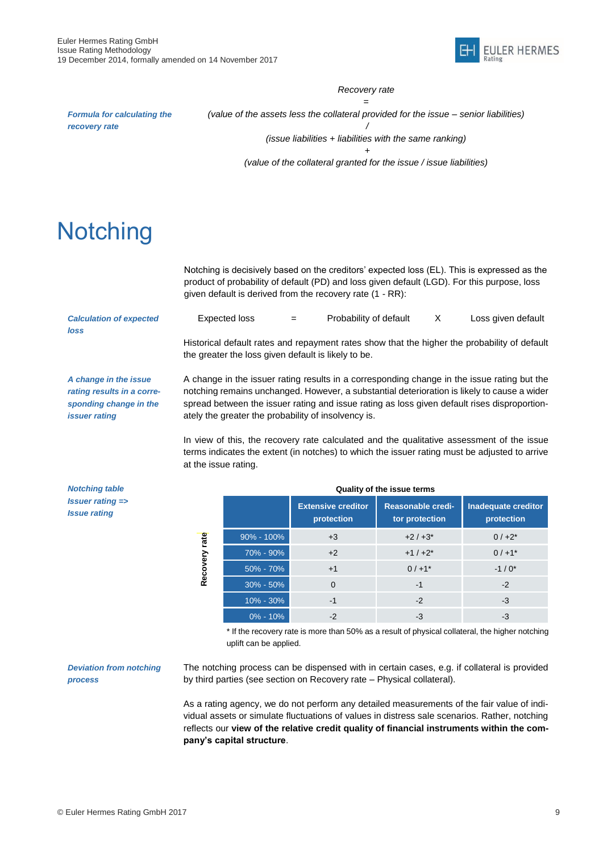

### *Recovery rate*

*= (value of the assets less the collateral provided for the issue – senior liabilities)*

*Formula for calculating the recovery rate*

*/ (issue liabilities + liabilities with the same ranking) +* 

*(value of the collateral granted for the issue / issue liabilities)*

## <span id="page-10-0"></span>**Notching**

Notching is decisively based on the creditors' expected loss (EL). This is expressed as the product of probability of default (PD) and loss given default (LGD). For this purpose, loss given default is derived from the recovery rate (1 - RR):

*Calculation of expected loss*

Expected loss  $=$  Probability of default  $X$  Loss given default

Historical default rates and repayment rates show that the higher the probability of default the greater the loss given default is likely to be.

*A change in the issue rating results in a corresponding change in the issuer rating*

A change in the issuer rating results in a corresponding change in the issue rating but the notching remains unchanged. However, a substantial deterioration is likely to cause a wider spread between the issuer rating and issue rating as loss given default rises disproportionately the greater the probability of insolvency is.

In view of this, the recovery rate calculated and the qualitative assessment of the issue terms indicates the extent (in notches) to which the issuer rating must be adjusted to arrive at the issue rating.

*Notching table Issuer rating => Issue rating*

|                  | Quality of the issue terms |                                         |                                     |                                          |  |  |  |
|------------------|----------------------------|-----------------------------------------|-------------------------------------|------------------------------------------|--|--|--|
|                  |                            | <b>Extensive creditor</b><br>protection | Reasonable credi-<br>tor protection | <b>Inadequate creditor</b><br>protection |  |  |  |
| rate<br>Recovery | $90\% - 100\%$             | $+3$                                    | $+2/+3*$                            | $0/+2^{*}$                               |  |  |  |
|                  | 70% - 90%                  | $+2$                                    | $+1/+2$ *                           | $0/+1$ *                                 |  |  |  |
|                  | 50% - 70%                  | $+1$                                    | $0/+1$ *                            | $-1/0*$                                  |  |  |  |
|                  | $30\% - 50\%$              | $\Omega$                                | $-1$                                | $-2$                                     |  |  |  |
|                  | $10\% - 30\%$              | $-1$                                    | $-2$                                | $-3$                                     |  |  |  |
|                  | $0\% - 10\%$               | $-2$                                    | -3                                  | -3                                       |  |  |  |

\* If the recovery rate is more than 50% as a result of physical collateral, the higher notching uplift can be applied.

#### *Deviation from notching process*

Recovery rate

The notching process can be dispensed with in certain cases, e.g. if collateral is provided by third parties (see section on Recovery rate – Physical collateral).

As a rating agency, we do not perform any detailed measurements of the fair value of individual assets or simulate fluctuations of values in distress sale scenarios. Rather, notching reflects our **view of the relative credit quality of financial instruments within the company's capital structure**.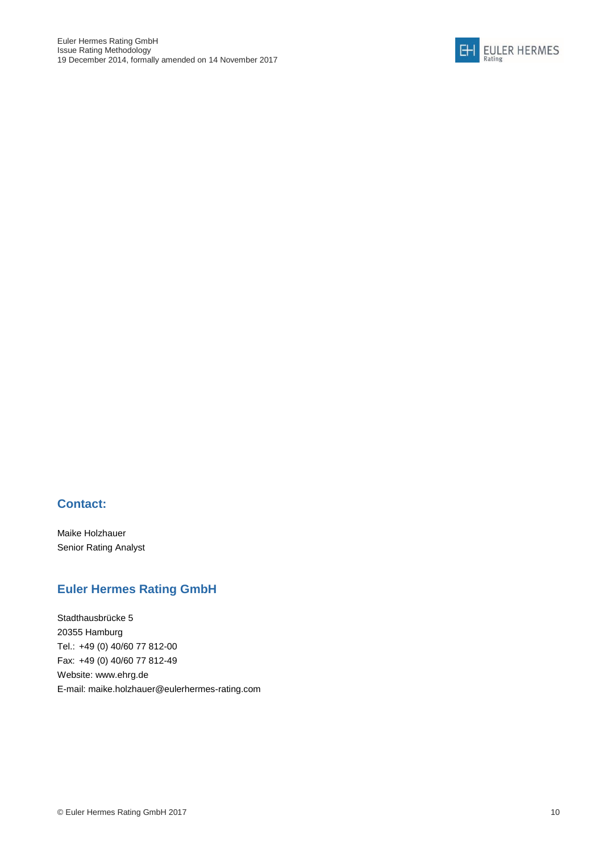

### **Contact:**

Maike Holzhauer Senior Rating Analyst

### **Euler Hermes Rating GmbH**

Stadthausbrücke 5 20355 Hamburg Tel.: +49 (0) 40/60 77 812-00 Fax: +49 (0) 40/60 77 812-49 Website: www.ehrg.de E-mail: [maike.holzhauer@eulerhermes-rating.com](mailto:maike.holzhauer@eulerhermes-rating.com)